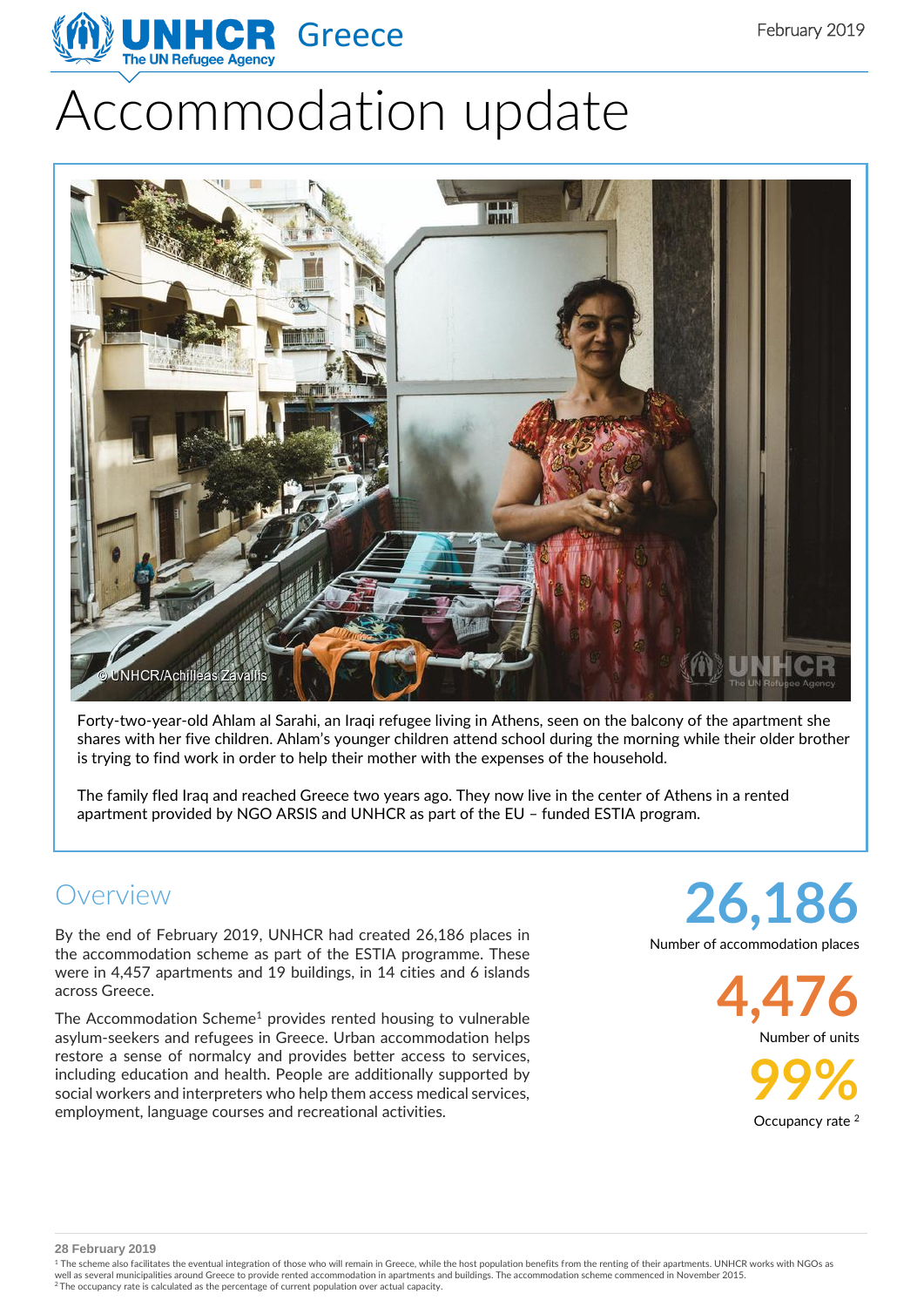

# Accommodation update



Forty-two-year-old Ahlam al Sarahi, an Iraqi refugee living in Athens, seen on the balcony of the apartment she shares with her five children. Ahlam's younger children attend school during the morning while their older brother is trying to find work in order to help their mother with the expenses of the household.

The family fled Iraq and reached Greece two years ago. They now live in the center of Athens in a rented apartment provided by NGO ARSIS and UNHCR as part of the EU – funded ESTIA program.

## Overview

By the end of February 2019, UNHCR had created 26,186 places in the accommodation scheme as part of the ESTIA programme. These were in 4,457 apartments and 19 buildings, in 14 cities and 6 islands across Greece.

The Accommodation Scheme<sup>1</sup> provides rented housing to vulnerable asylum-seekers and refugees in Greece. Urban accommodation helps restore a sense of normalcy and provides better access to services, including education and health. People are additionally supported by social workers and interpreters who help them access medical services, employment, language courses and recreational activities.

**26,186** Number of accommodation places

**4,476**

Number of units

**99%** Occupancy rate<sup>2</sup>

**28 February 2019**

<sup>1</sup> The scheme also facilitates the eventual integration of those who will remain in Greece, while the host population benefits from the renting of their apartments. UNHCR works with NGOs as well as several municipalities around Greece to provide rented accommodation in apartments and buildings. The accommodation scheme commenced in November 2015.<br><sup>2</sup> The occupancy rate is calculated as the percentage of curre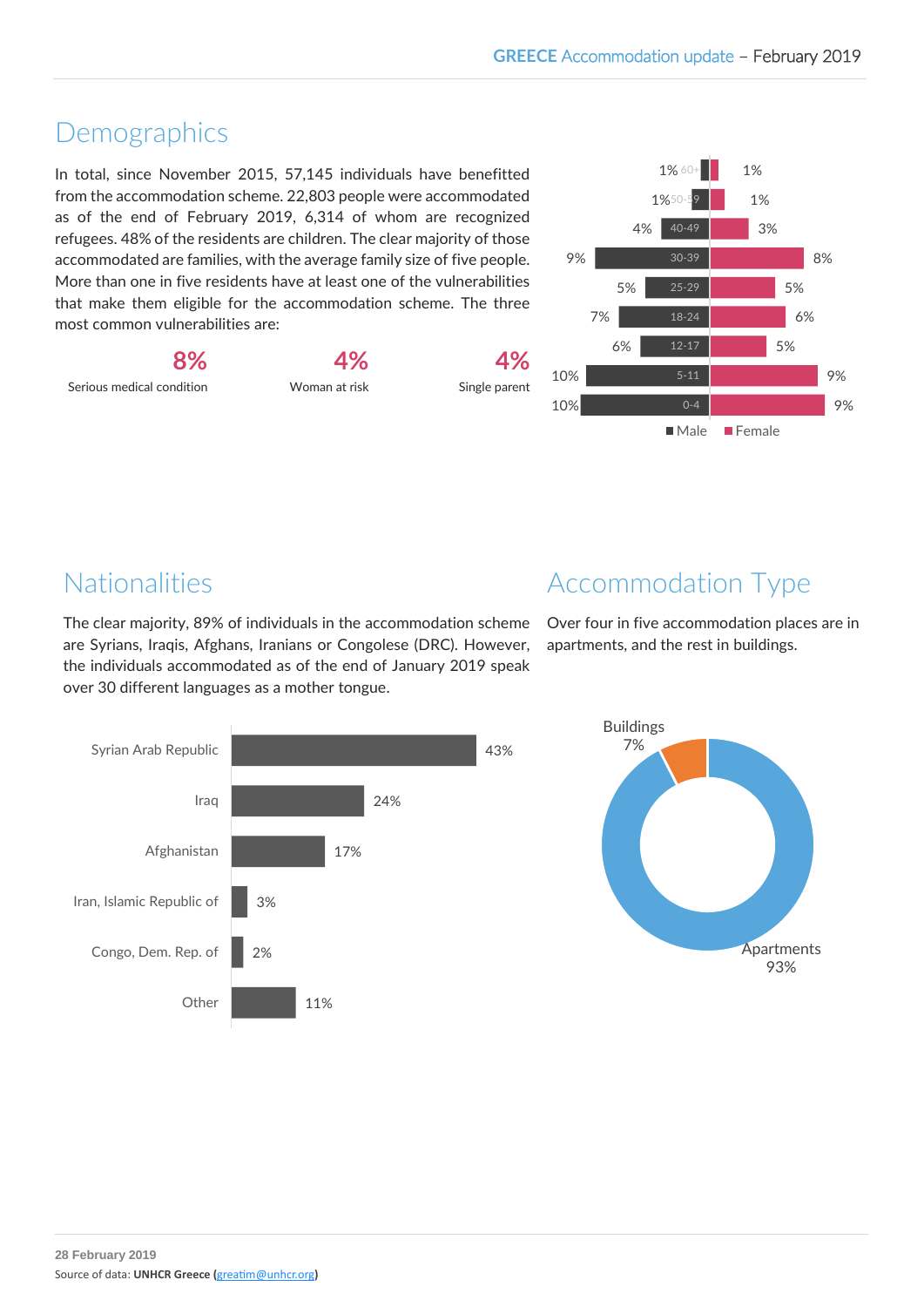# Demographics

In total, since November 2015, 57,145 individuals have benefitted from the accommodation scheme. 22,803 people were accommodated as of the end of February 2019, 6,314 of whom are recognized refugees. 48% of the residents are children. The clear majority of those accommodated are families, with the average family size of five people. More than one in five residents have at least one of the vulnerabilities that make them eligible for the accommodation scheme. The three most common vulnerabilities are:



**4%** Woman at risk





# Nationalities

The clear majority, 89% of individuals in the accommodation scheme are Syrians, Iraqis, Afghans, Iranians or Congolese (DRC). However, the individuals accommodated as of the end of January 2019 speak over 30 different languages as a mother tongue.



Over four in five accommodation places are in apartments, and the rest in buildings.



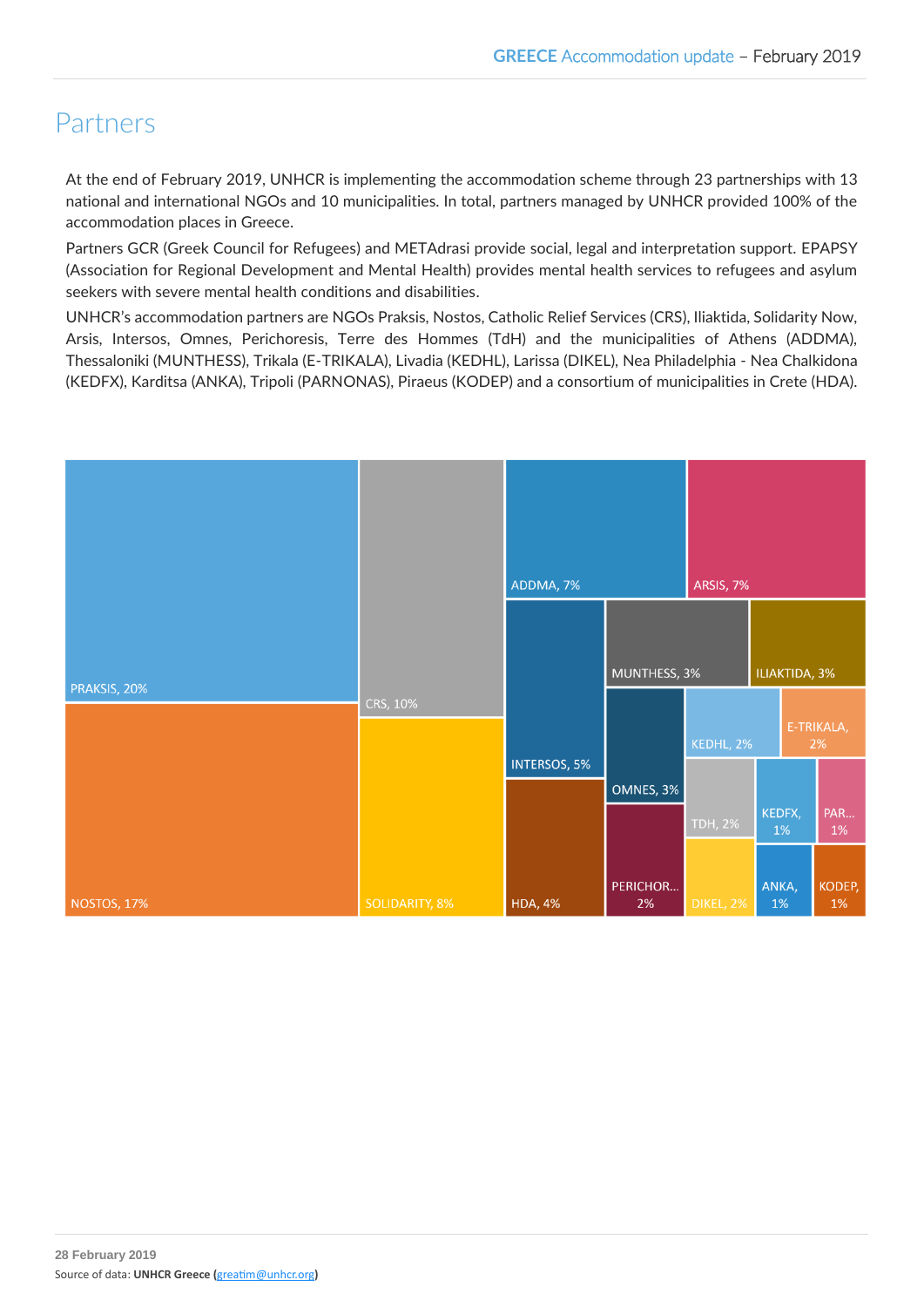# Partners

At the end of February 2019, UNHCR is implementing the accommodation scheme through 23 partnerships with 13 national and international NGOs and 10 municipalities. In total, partners managed by UNHCR provided 100% of the accommodation places in Greece.

Partners GCR (Greek Council for Refugees) and METAdrasi provide social, legal and interpretation support. EPAPSY (Association for Regional Development and Mental Health) provides mental health services to refugees and asylum seekers with severe mental health conditions and disabilities.

UNHCR's accommodation partners are NGOs Praksis, Nostos, Catholic Relief Services (CRS), Iliaktida, Solidarity Now, Arsis, Intersos, Omnes, Perichoresis, Terre des Hommes (TdH) and the municipalities of Athens (ADDMA), Thessaloniki (MUNTHESS), Trikala (E-TRIKALA), Livadia (KEDHL), Larissa (DIKEL), Nea Philadelphia - Nea Chalkidona (KEDFX), Karditsa (ANKA), Tripoli (PARNONAS), Piraeus (KODEP) and a consortium of municipalities in Crete (HDA).